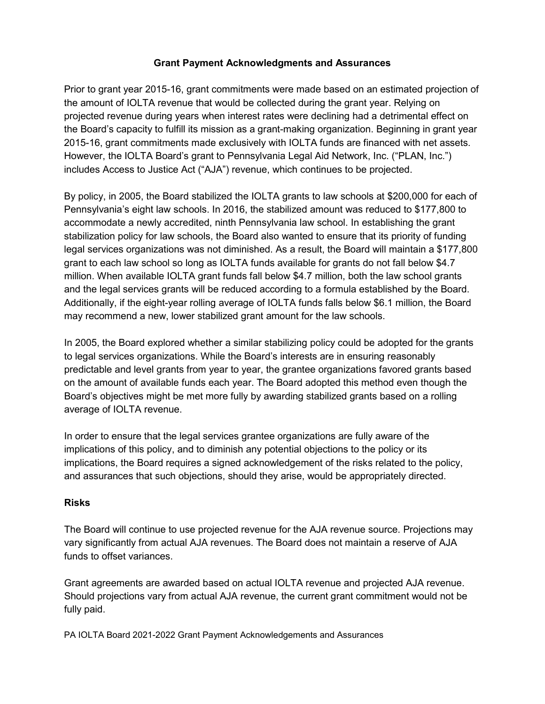## **Grant Payment Acknowledgments and Assurances**

Prior to grant year 2015-16, grant commitments were made based on an estimated projection of the amount of IOLTA revenue that would be collected during the grant year. Relying on projected revenue during years when interest rates were declining had a detrimental effect on the Board's capacity to fulfill its mission as a grant-making organization. Beginning in grant year 2015-16, grant commitments made exclusively with IOLTA funds are financed with net assets. However, the IOLTA Board's grant to Pennsylvania Legal Aid Network, Inc. ("PLAN, Inc.") includes Access to Justice Act ("AJA") revenue, which continues to be projected.

By policy, in 2005, the Board stabilized the IOLTA grants to law schools at \$200,000 for each of Pennsylvania's eight law schools. In 2016, the stabilized amount was reduced to \$177,800 to accommodate a newly accredited, ninth Pennsylvania law school. In establishing the grant stabilization policy for law schools, the Board also wanted to ensure that its priority of funding legal services organizations was not diminished. As a result, the Board will maintain a \$177,800 grant to each law school so long as IOLTA funds available for grants do not fall below \$4.7 million. When available IOLTA grant funds fall below \$4.7 million, both the law school grants and the legal services grants will be reduced according to a formula established by the Board. Additionally, if the eight-year rolling average of IOLTA funds falls below \$6.1 million, the Board may recommend a new, lower stabilized grant amount for the law schools.

In 2005, the Board explored whether a similar stabilizing policy could be adopted for the grants to legal services organizations. While the Board's interests are in ensuring reasonably predictable and level grants from year to year, the grantee organizations favored grants based on the amount of available funds each year. The Board adopted this method even though the Board's objectives might be met more fully by awarding stabilized grants based on a rolling average of IOLTA revenue.

In order to ensure that the legal services grantee organizations are fully aware of the implications of this policy, and to diminish any potential objections to the policy or its implications, the Board requires a signed acknowledgement of the risks related to the policy, and assurances that such objections, should they arise, would be appropriately directed.

## **Risks**

The Board will continue to use projected revenue for the AJA revenue source. Projections may vary significantly from actual AJA revenues. The Board does not maintain a reserve of AJA funds to offset variances.

Grant agreements are awarded based on actual IOLTA revenue and projected AJA revenue. Should projections vary from actual AJA revenue, the current grant commitment would not be fully paid.

PA IOLTA Board 2021-2022 Grant Payment Acknowledgements and Assurances